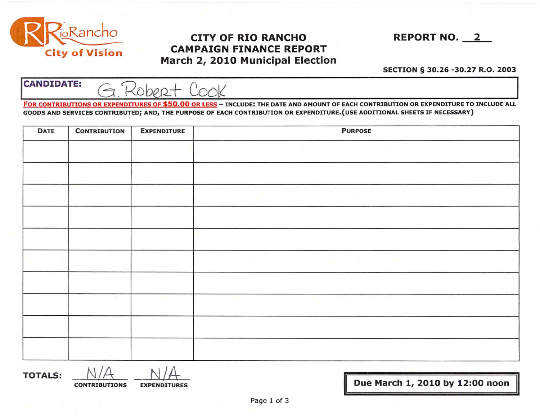

## **CITY OF RIO RANCHO** REPORT NO. 2 CAMPAIGN FINANCE REPORT March 2, 2010 Municipal Election

## SECTION § 30.26 -30.27 R.O. 2003

 $CANDIDATE: \quad G.Rober+$ 

FOR CONTRIBUTIONS OR EXPENDITURES OF \$50.00 OR LESS - INCLUDE: THE DATE AND AMOUNT OF EACH CONTRIBUTION OR EXPENDITURE TO INCLUDE ALL GOODS AND SERVICES CONTRIBUTED; AND, THE PURPOSE OF EACH CONTRIBUTION OR EXPENDITURE.(USE ADDITIONAL SHEETS IF NECESSARY)

| DATE            | <b>CONTRIBUTION</b>                       | <b>EXPENDITURE</b>  | <b>PURPOSE</b>                                              |  |  |  |
|-----------------|-------------------------------------------|---------------------|-------------------------------------------------------------|--|--|--|
|                 |                                           |                     | <b>PLUMP</b><br>机开关 化乙基二甲基苯 化光谱 医无精 医皮肤 医发明                 |  |  |  |
|                 |                                           |                     | <b>Carta</b><br>San Angel (1992), and a bring the san       |  |  |  |
| <b>Contract</b> | <b>COLLEGE</b><br><b>Burnett</b><br>Sept. | <b>Carl College</b> | <b>Contract Contract</b><br>and the control of<br>- 99 - 90 |  |  |  |
|                 |                                           |                     | 网络紫外科 网络紫外科 网络黑色的 计有效程序 化电压电子 化电子电子 化聚合物                    |  |  |  |
|                 |                                           |                     |                                                             |  |  |  |
|                 |                                           |                     | <b>STORY CONSTRUCTION</b>                                   |  |  |  |
|                 |                                           |                     | <b>CONTRACTOR</b>                                           |  |  |  |

**TOTALS:**  $\frac{N}{A}$   $\frac{N}{A}$ 

Due March 1, 2010 by 12:00 noon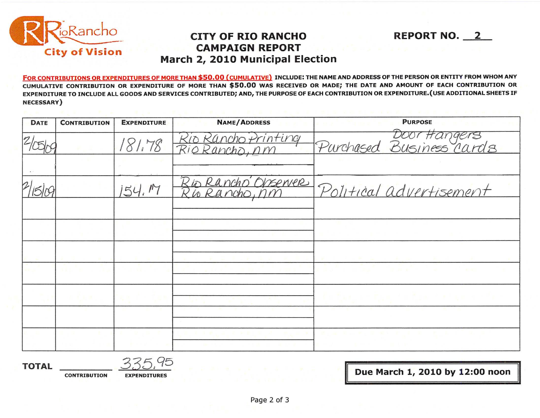

## **Polity OF RIO RANCHO REPORT NO.** 2<br> **City of Vision** May be a 2010 Municipal Floation **City of Vision CAMPAIGN REPORT March 2, 2010 Municipal Election**

FOR CONTRIBUTIONS OR EXPENDITURES OF MORE THAN \$50.00 (CUMULATIVE) INCLUDE: THE NAME AND ADDRESS OF THE PERSON OR ENTITY FROM WHOM ANY CUMULATIVE CONTRIBUTION OR EXPENDITURE OF MORE THAN \$50.00 WAS RECEIVED OR MADE; THE DATE AND AMOUNT OF EACH CONTRIBUTION OR EXPENDITURE TO INCLUDE ALL GOOOS AND SERVICES CONTRIBUTED; AND, THE PURPOSE OF EACH CONTRIBUTION OR EXPENDITURE.(USE ADDITIONAL SHEETS IF NECESSARY)

| <b>DATE</b>      | <b>CONTRIBUTION</b> | <b>EXPENDITURE</b> | <b>NAME/ADDRESS</b>                   | <b>PURPOSE</b>                           |
|------------------|---------------------|--------------------|---------------------------------------|------------------------------------------|
|                  |                     | 181.78             | Kio Rancho Printing<br>Rio Rancho, nm | Door Hangers<br>Purchased Business cards |
|                  |                     |                    |                                       |                                          |
| $\boldsymbol{2}$ |                     | 152                | Rio Rancho Observer<br>is Rancho, nm  | Political advertisement                  |
|                  |                     |                    |                                       |                                          |
|                  |                     |                    |                                       |                                          |
|                  |                     |                    |                                       |                                          |
|                  |                     |                    |                                       |                                          |
|                  |                     |                    |                                       |                                          |
|                  |                     |                    |                                       |                                          |
|                  |                     |                    |                                       |                                          |

**TOTAL** 335,q5

**CONTRIBUTION** EXPENDITURES *EXPENDITURES* 

**II**